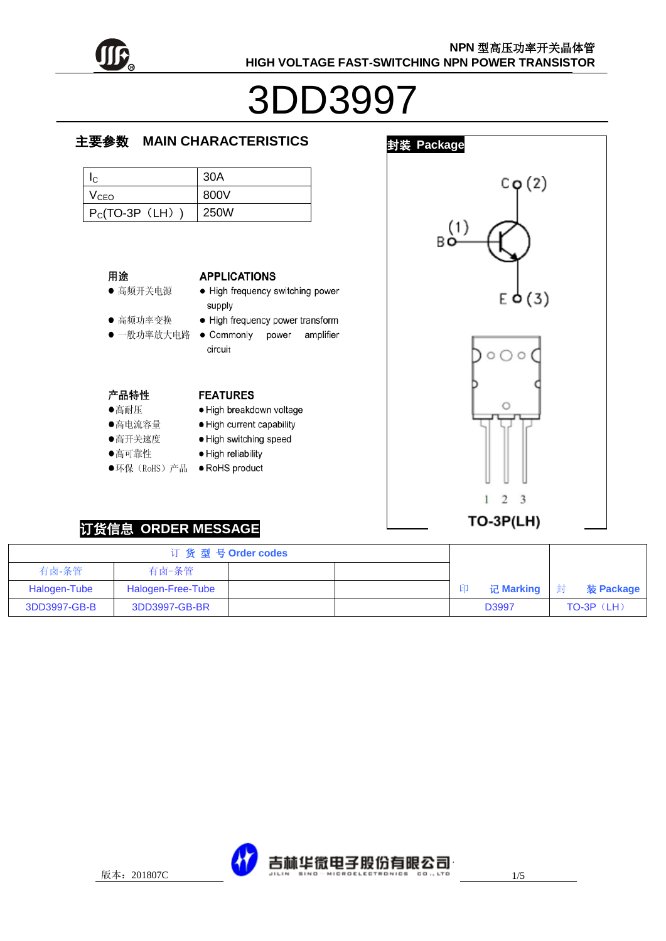

# 3DD3997

#### 主要参数 **MAIN CHARACTERISTICS**

| IC.              | 30A         |
|------------------|-------------|
| V <sub>CEO</sub> | 800V        |
| $P_C(TO-3P$ (LH) | <b>250W</b> |

#### 用途

● 高频开关电源

● 高频功率变换

**APPLICATIONS** 

**FEATURES** 

· High reliability

- High frequency switching power supply
- High frequency power transform
- 一般功率放大电路 Commonly amplifier power circuit

· High breakdown voltage

· High current capability

· High switching speed

#### 产品特性

- ●高耐压
- ●高电流容量
- ●高开关速度
- ●高可靠性
- ●环保 (RoHS) 产品 RoHS product



# 订货信息 **ORDER MESSAGE**

|              |                   | 订货型号Order codes |     |            |              |
|--------------|-------------------|-----------------|-----|------------|--------------|
| 有卤-条管        | 有卤-条管             |                 |     |            |              |
| Halogen-Tube | Halogen-Free-Tube |                 | ЕIJ | 记Marking 封 | 装 Package    |
| 3DD3997-GB-B | 3DD3997-GB-BR     |                 |     | D3997      | $TO-3P$ (LH) |

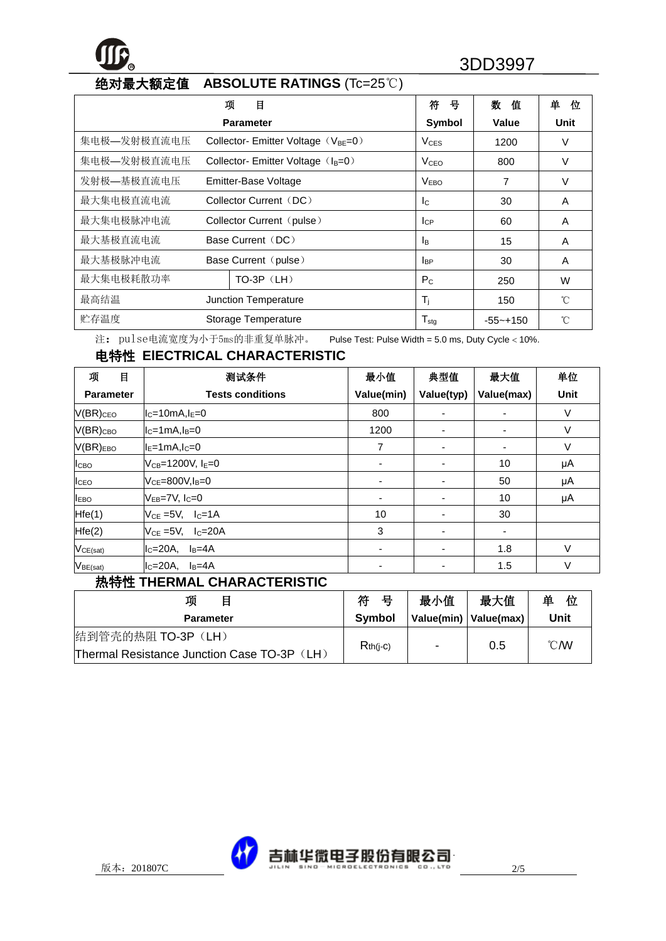# **<sup>R</sup>** 3DD3997

# 绝对最大额定值 **ABSOLUTE RATINGS** (Tc=25℃)

|             |                           | 项<br>目                                        | 符<br>뮥                       | 数<br>值       | 单<br>位       |
|-------------|---------------------------|-----------------------------------------------|------------------------------|--------------|--------------|
|             |                           | <b>Parameter</b>                              | Symbol                       | Value        | Unit         |
| 集电极—发射极直流电压 |                           | Collector-Emitter Voltage $(V_{BE}=0)$        | $V_{CES}$                    | 1200         | V            |
| 集电极—发射极直流电压 |                           | Collector-Emitter Voltage (I <sub>B</sub> =0) | V <sub>CEO</sub>             | 800          | V            |
| 发射极—基极直流电压  |                           | Emitter-Base Voltage                          | V <sub>EBO</sub>             | 7            | $\vee$       |
| 最大集电极直流电流   |                           | Collector Current (DC)                        | $\mathsf{I}$                 | 30           | A            |
| 最大集电极脉冲电流   | Collector Current (pulse) |                                               | $I_{CP}$                     | 60           | A            |
| 最大基极直流电流    | Base Current (DC)         |                                               | <b>I</b> B                   | 15           | A            |
| 最大基极脉冲电流    | Base Current (pulse)      |                                               | <b>I</b> BP                  | 30           | A            |
| 最大集电极耗散功率   |                           | TO-3P (LH)                                    | $P_{C}$                      | 250          | W            |
| 最高结温        |                           | Junction Temperature                          | $T_i$                        | 150          | $^{\circ}$ C |
| 贮存温度        |                           | Storage Temperature                           | ${\mathsf T}_{\textsf{stg}}$ | $-55 - +150$ | 'n           |

注: pulse电流宽度为小于5ms的非重复单脉冲。 Pulse Test: Pulse Width = 5.0 ms, Duty Cycle < 10%.

# 电特性 **ElECTRICAL CHARACTERISTIC**

| 项<br>目                  | 测试条件                       | 最小值                      | 典型值                      | 最大值        | 单位   |
|-------------------------|----------------------------|--------------------------|--------------------------|------------|------|
| <b>Parameter</b>        | <b>Tests conditions</b>    | Value(min)               | Value(typ)               | Value(max) | Unit |
| $V(BR)_{CEO}$           | $IC=10mA,IE=0$             | 800                      | -                        |            | V    |
| $V(BR)_{CBO}$           | $IC=1mA,IB=0$              | 1200                     | $\overline{\phantom{a}}$ |            | V    |
| $V(BR)_{EBO}$           | $ I_{E}=1$ mA, $I_{C}=0$   | 7                        | $\overline{\phantom{a}}$ |            | V    |
| <b>I</b> <sub>CBO</sub> | $V_{CB} = 1200 V, I_F = 0$ | ۰                        | $\overline{\phantom{a}}$ | 10         | μA   |
| ICEO                    | $V_{CF} = 800V I_B = 0$    | -                        | $\overline{\phantom{a}}$ | 50         | μA   |
| <b>I</b> <sub>EBO</sub> | $V_{FB}$ =7V, $I_C$ =0     | $\overline{\phantom{a}}$ | $\overline{\phantom{a}}$ | 10         | μA   |
| Hfe(1)                  | $V_{CE} = 5V$ , $I_C = 1A$ | 10                       | $\overline{\phantom{a}}$ | 30         |      |
| Hfe(2)                  | $V_{CF}$ =5V, $I_C$ =20A   | 3                        | $\overline{\phantom{a}}$ |            |      |
| VCE(sat)                | $IC=20A$ , $IB=4A$         | ۰                        | $\overline{\phantom{a}}$ | 1.8        | V    |
| $V_{BE(sat)}$           | $I_c=20A$ , $I_B=4A$       | -                        | ٠                        | 1.5        | V    |

#### 热特性 **THERMAL CHARACTERISTIC**

| 项                                           | 符<br>묭     | 最小值                      | 最大值                     | 单<br>位         |
|---------------------------------------------|------------|--------------------------|-------------------------|----------------|
| <b>Parameter</b>                            | Symbol     |                          | Value(min)   Value(max) | Unit           |
| 结到管壳的热阻 TO-3P (LH)                          |            |                          |                         | $^{\circ}$ CMV |
| Thermal Resistance Junction Case TO-3P (LH) | $Rth(i-c)$ | $\overline{\phantom{0}}$ | 0.5                     |                |

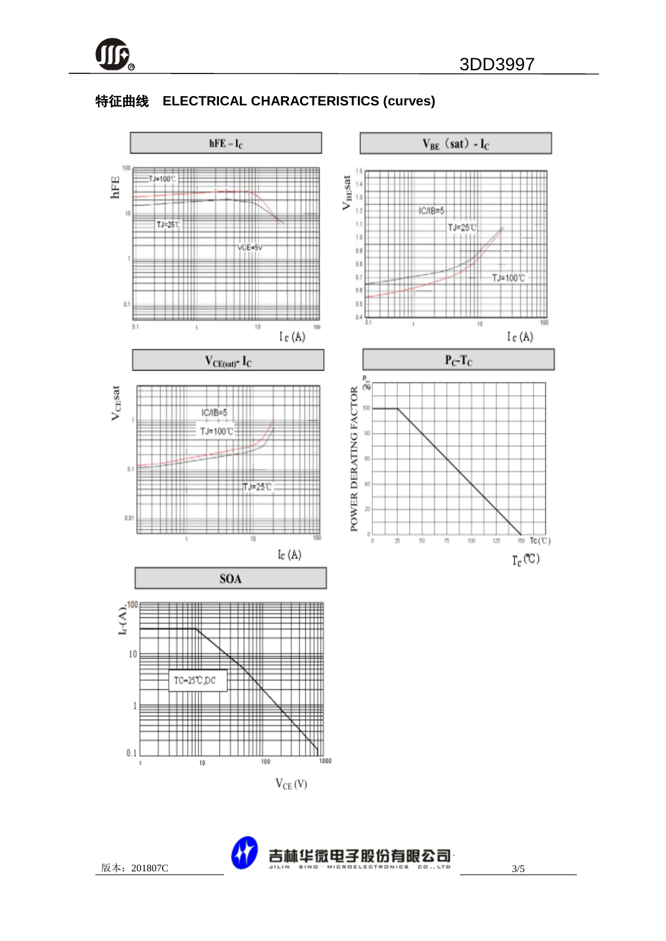

## 特征曲线 **ELECTRICAL CHARACTERISTICS (curves)**



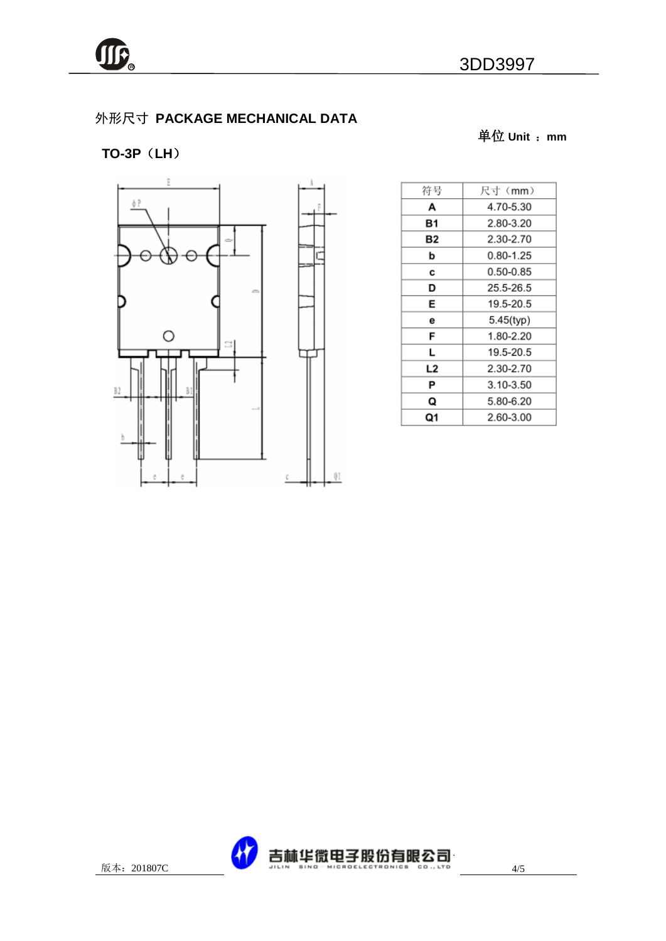单位 **Unit** :**mm**

# 外形尺寸 **PACKAGE MECHANICAL DATA**

## **TO-3P**(**LH**)



| 符号 | 尺寸(mm)    |
|----|-----------|
| А  | 4.70-5.30 |
| Β1 | 2.80-3.20 |
| Β2 | 2.30-2.70 |
| b  | 0.80-1.25 |
| С  | 0.50-0.85 |
| D  | 25.5-26.5 |
| E  | 19.5-20.5 |
| е  | 5.45(typ) |
| F  | 1.80-2.20 |
| L  | 19.5-20.5 |
| L2 | 2.30-2.70 |
| Ρ  | 3.10-3.50 |
| Q  | 5.80-6.20 |
| Q1 | 2.60-3.00 |